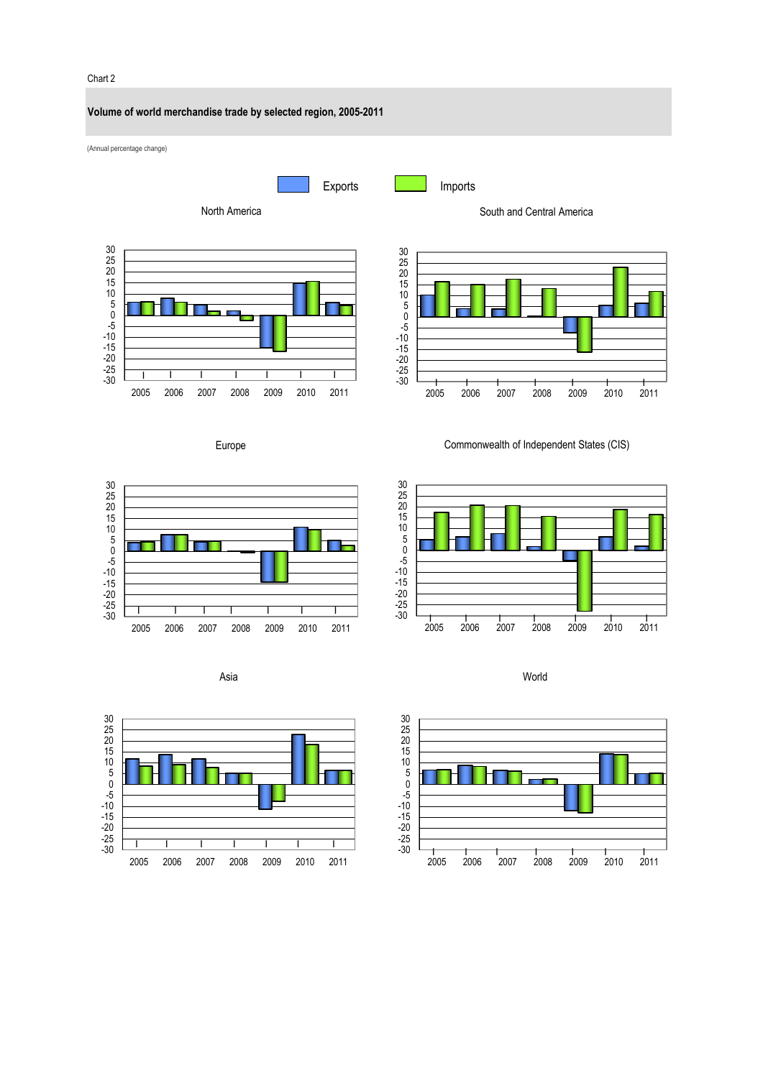#### Chart 2

## **Volume of world merchandise trade by selected region, 2005-2011**

(Annual percentage change)













Europe













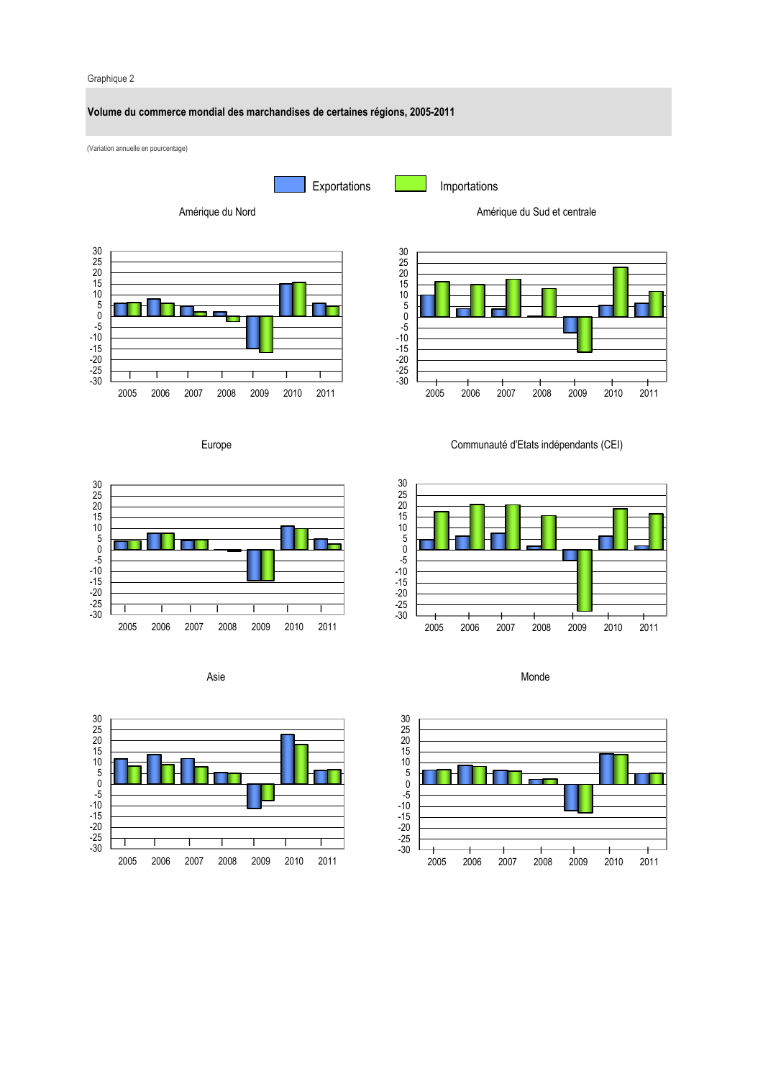#### Graphique 2

-30 -25 -20 -15 -10 -5 0 5 10 15 20 25 30

## **Volume du commerce mondial des marchandises de certaines régions, 2005-2011**

(Variation annuelle en pourcentage)

Exportations **Importations** 

2005 2006 2007 2008 2009 2010 2011 I I I I I I I

Amérique du Nord



Amérique du Sud et centrale

Europe



Asie



Communauté d'Etats indépendants (CEI)





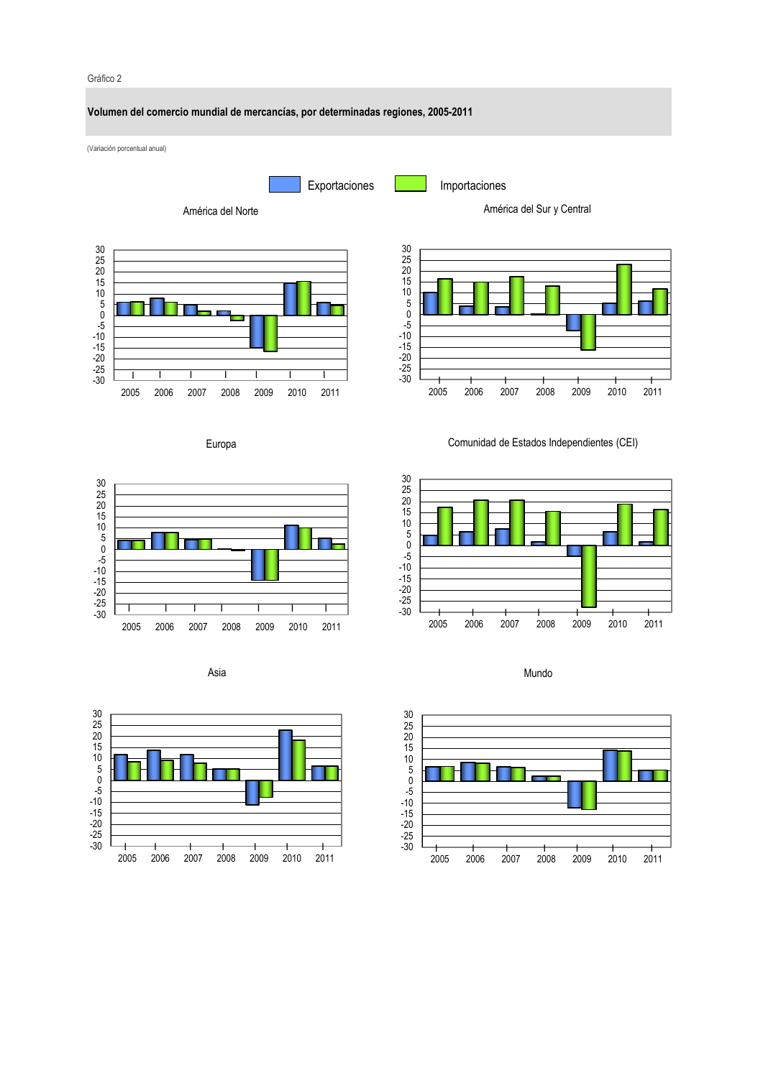## Gráfico 2







Europa







Comunidad de Estados Independientes (CEI)